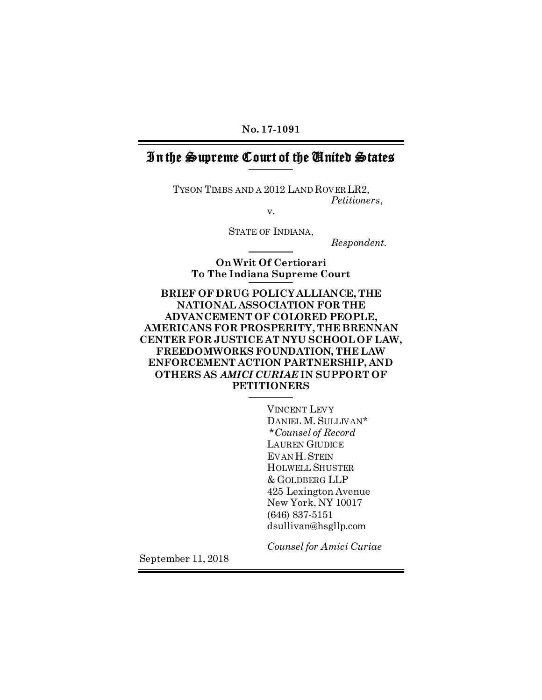No. 17-1091

## In the Supreme Court of the United States

TYSON TIMBS AND A 2012 LAND ROVER LR2, *Petitioners*,

v.

STATE OF INDIANA,

*Respondent.*

On Writ Of Certiorari To The Indiana Supreme Court

## BRIEF OF DRUG POLICY ALLIANCE, THE NATIONAL ASSOCIATION FOR THE ADVANCEMENT OF COLORED PEOPLE, AMERICANS FOR PROSPERITY, THE BRENNAN CENTER FOR JUSTICE AT NYU SCHOOL OF LAW, FREEDOMWORKS FOUNDATION, THE LAW ENFORCEMENT ACTION PARTNERSHIP, AND OTHERS AS *AMICI CURIAE* IN SUPPORT OF **PETITIONERS**

VINCENT LEVY DANIEL M. SULLIVAN\* \**Counsel of Record* LAUREN GIUDICE EVAN H. STEIN HOLWELL SHUSTER & GOLDBERG LLP 425 Lexington Avenue New York, NY 10017 (646) 837-5151 dsullivan@hsgllp.com

*Counsel for Amici Curiae*

September 11, 2018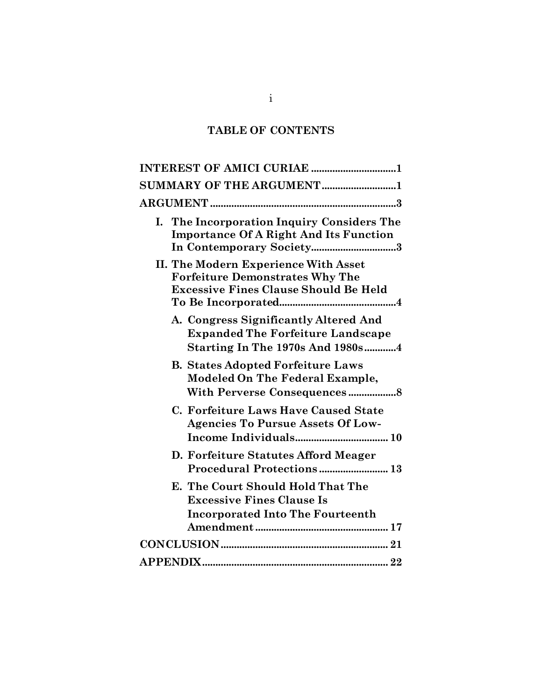# TABLE OF CONTENTS

| INTEREST OF AMICI CURIAE 1                                                                                                     |
|--------------------------------------------------------------------------------------------------------------------------------|
| SUMMARY OF THE ARGUMENT1                                                                                                       |
|                                                                                                                                |
| The Incorporation Inquiry Considers The<br>I.<br><b>Importance Of A Right And Its Function</b><br>In Contemporary Society3     |
| II. The Modern Experience With Asset<br><b>Forfeiture Demonstrates Why The</b><br><b>Excessive Fines Clause Should Be Held</b> |
| A. Congress Significantly Altered And<br><b>Expanded The Forfeiture Landscape</b><br><b>Starting In The 1970s And 1980s4</b>   |
| <b>B. States Adopted Forfeiture Laws</b><br><b>Modeled On The Federal Example,</b>                                             |
| C. Forfeiture Laws Have Caused State<br><b>Agencies To Pursue Assets Of Low-</b>                                               |
| D. Forfeiture Statutes Afford Meager<br>Procedural Protections 13                                                              |
| E. The Court Should Hold That The<br><b>Excessive Fines Clause Is</b><br><b>Incorporated Into The Fourteenth</b>               |
|                                                                                                                                |
|                                                                                                                                |

i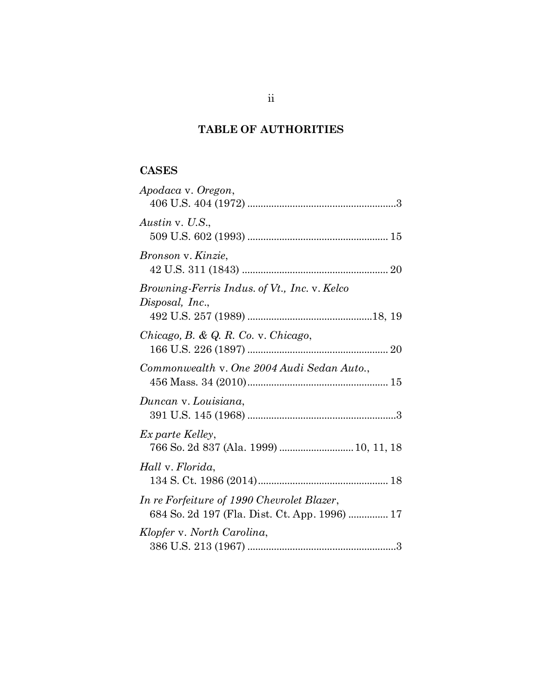## TABLE OF AUTHORITIES

## **CASES**

| Apodaca v. Oregon,                                                                          |
|---------------------------------------------------------------------------------------------|
| Austin v. U.S.,                                                                             |
| Bronson v. Kinzie,                                                                          |
| Browning-Ferris Indus. of Vt., Inc. v. Kelco<br>Disposal, Inc.,                             |
| Chicago, B. & Q. R. Co. v. Chicago,                                                         |
| Commonwealth v. One 2004 Audi Sedan Auto.,                                                  |
| Duncan v. Louisiana,                                                                        |
| Ex parte Kelley,<br>766 So. 2d 837 (Ala. 1999)  10, 11, 18                                  |
| Hall v. Florida,                                                                            |
| In re Forfeiture of 1990 Chevrolet Blazer,<br>684 So. 2d 197 (Fla. Dist. Ct. App. 1996)  17 |
| Klopfer v. North Carolina,                                                                  |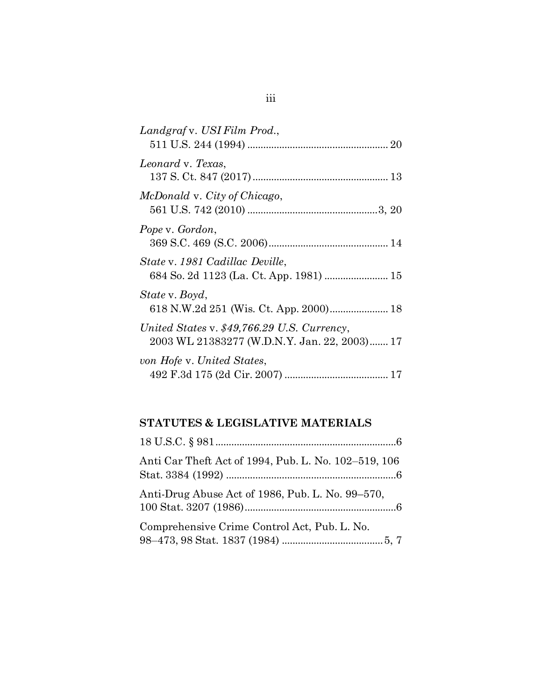| Landgraf v. USI Film Prod.,                                                                 |
|---------------------------------------------------------------------------------------------|
| Leonard v. Texas,                                                                           |
| McDonald v. City of Chicago,                                                                |
| Pope v. Gordon,                                                                             |
| State v. 1981 Cadillac Deville,<br>684 So. 2d 1123 (La. Ct. App. 1981)  15                  |
| State v. Boyd,                                                                              |
| United States v. \$49,766.29 U.S. Currency,<br>2003 WL 21383277 (W.D.N.Y. Jan. 22, 2003) 17 |
| von Hofe v. United States,                                                                  |

## STATUTES & LEGISLATIVE MATERIALS

| Anti Car Theft Act of 1994, Pub. L. No. 102-519, 106 |
|------------------------------------------------------|
| Anti-Drug Abuse Act of 1986, Pub. L. No. 99-570,     |
| Comprehensive Crime Control Act, Pub. L. No.         |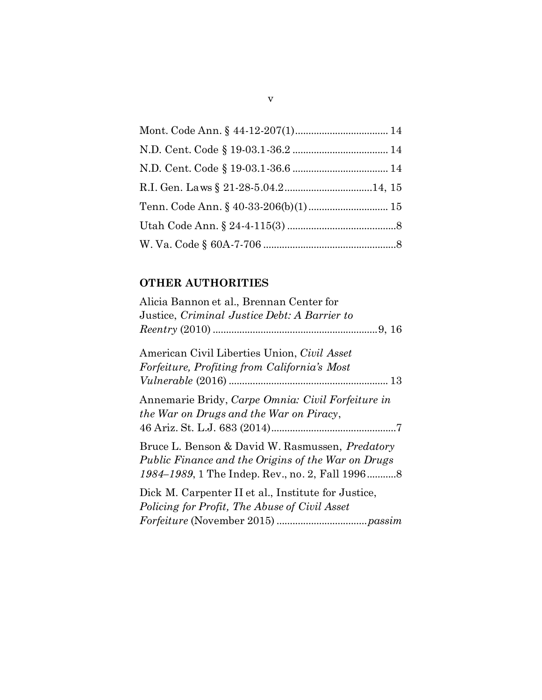# OTHER AUTHORITIES

| Alicia Bannon et al., Brennan Center for               |
|--------------------------------------------------------|
| Justice, Criminal Justice Debt: A Barrier to           |
|                                                        |
| American Civil Liberties Union, Civil Asset            |
| Forfeiture, Profiting from California's Most           |
|                                                        |
| Annemarie Bridy, Carpe Omnia: Civil Forfeiture in      |
| the War on Drugs and the War on Piracy,                |
|                                                        |
| Bruce L. Benson & David W. Rasmussen, <i>Predatory</i> |
| Public Finance and the Origins of the War on Drugs     |
|                                                        |
| Dick M. Carpenter II et al., Institute for Justice,    |
| Policing for Profit, The Abuse of Civil Asset          |
|                                                        |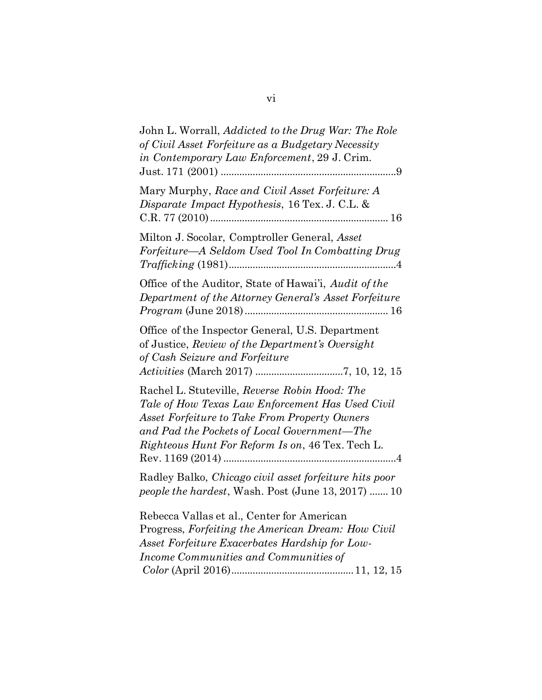| John L. Worrall, Addicted to the Drug War: The Role<br>of Civil Asset Forfeiture as a Budgetary Necessity<br>in Contemporary Law Enforcement, 29 J. Crim.                                                                                                    |  |
|--------------------------------------------------------------------------------------------------------------------------------------------------------------------------------------------------------------------------------------------------------------|--|
| Mary Murphy, Race and Civil Asset Forfeiture: A<br>Disparate Impact Hypothesis, 16 Tex. J. C.L. &                                                                                                                                                            |  |
| Milton J. Socolar, Comptroller General, Asset<br>Forfeiture—A Seldom Used Tool In Combatting Drug                                                                                                                                                            |  |
| Office of the Auditor, State of Hawai'i, Audit of the<br>Department of the Attorney General's Asset Forfeiture                                                                                                                                               |  |
| Office of the Inspector General, U.S. Department<br>of Justice, Review of the Department's Oversight<br>of Cash Seizure and Forfeiture                                                                                                                       |  |
| Rachel L. Stuteville, Reverse Robin Hood: The<br>Tale of How Texas Law Enforcement Has Used Civil<br><b>Asset Forfeiture to Take From Property Owners</b><br>and Pad the Pockets of Local Government—The<br>Righteous Hunt For Reform Is on, 46 Tex. Tech L. |  |
| Radley Balko, Chicago civil asset forfeiture hits poor<br><i>people the hardest</i> , Wash. Post (June 13, 2017)  10                                                                                                                                         |  |
| Rebecca Vallas et al., Center for American<br>Progress, Forfeiting the American Dream: How Civil<br>Asset Forfeiture Exacerbates Hardship for Low-<br>Income Communities and Communities of                                                                  |  |

vi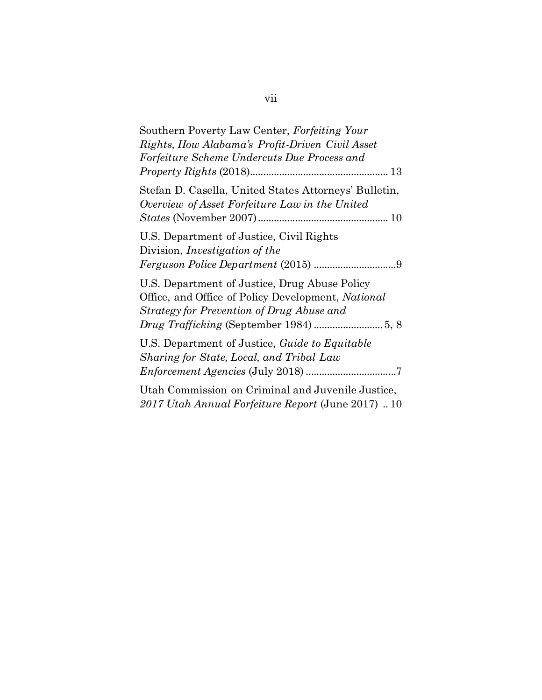| Southern Poverty Law Center, Forfeiting Your<br>Rights, How Alabama's Profit-Driven Civil Asset<br>Forfeiture Scheme Undercuts Due Process and   |
|--------------------------------------------------------------------------------------------------------------------------------------------------|
|                                                                                                                                                  |
| Stefan D. Casella, United States Attorneys' Bulletin,<br>Overview of Asset Forfeiture Law in the United                                          |
| U.S. Department of Justice, Civil Rights<br>Division, <i>Investigation</i> of the                                                                |
| U.S. Department of Justice, Drug Abuse Policy<br>Office, and Office of Policy Development, National<br>Strategy for Prevention of Drug Abuse and |
| U.S. Department of Justice, <i>Guide to Equitable</i><br>Sharing for State, Local, and Tribal Law                                                |
| Utah Commission on Criminal and Juvenile Justice,<br>2017 Utah Annual Forfeiture Report (June 2017)  10                                          |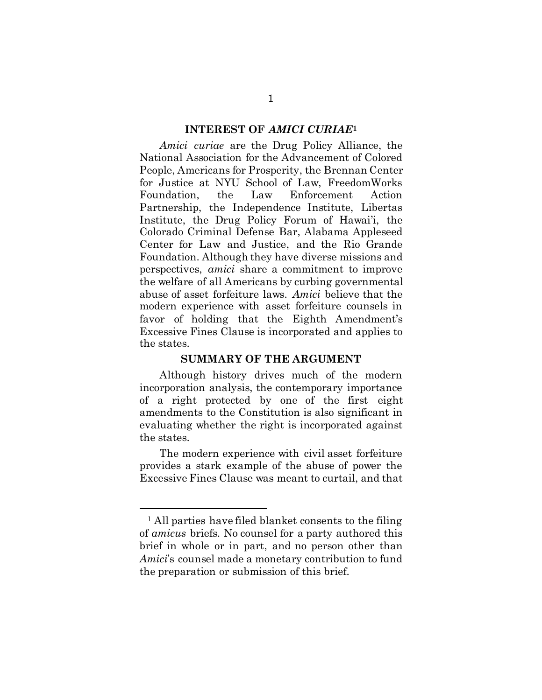### INTEREST OF *AMICI CURIAE*<sup>1</sup>

<span id="page-8-0"></span>*Amici curiae* are the Drug Policy Alliance, the National Association for the Advancement of Colored People, Americans for Prosperity, the Brennan Center for Justice at NYU School of Law, FreedomWorks Foundation, the Law Enforcement Action Partnership, the Independence Institute, Libertas Institute, the Drug Policy Forum of Hawai'i, the Colorado Criminal Defense Bar, Alabama Appleseed Center for Law and Justice, and the Rio Grande Foundation. Although they have diverse missions and perspectives, *amici* share a commitment to improve the welfare of all Americans by curbing governmental abuse of asset forfeiture laws. *Amici* believe that the modern experience with asset forfeiture counsels in favor of holding that the Eighth Amendment's Excessive Fines Clause is incorporated and applies to the states.

### SUMMARY OF THE ARGUMENT

<span id="page-8-1"></span>Although history drives much of the modern incorporation analysis, the contemporary importance of a right protected by one of the first eight amendments to the Constitution is also significant in evaluating whether the right is incorporated against the states.

The modern experience with civil asset forfeiture provides a stark example of the abuse of power the Excessive Fines Clause was meant to curtail, and that

 $\ddot{\phantom{a}}$ 

<sup>1</sup> All parties have filed blanket consents to the filing of *amicus* briefs. No counsel for a party authored this brief in whole or in part, and no person other than *Amici*'s counsel made a monetary contribution to fund the preparation or submission of this brief.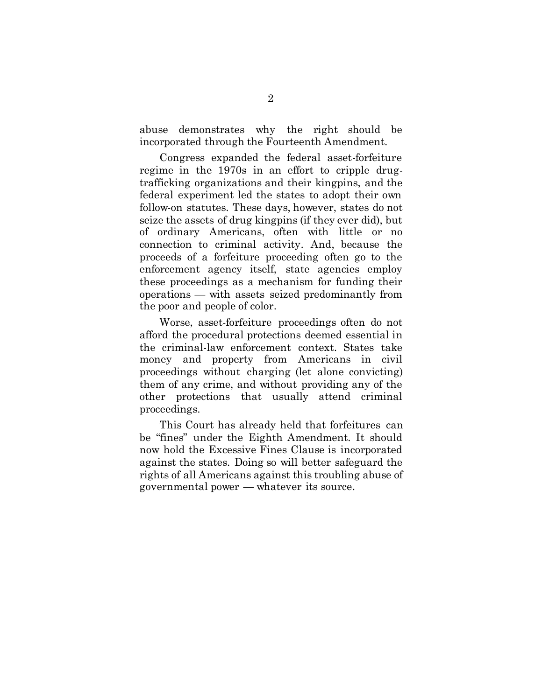abuse demonstrates why the right should be incorporated through the Fourteenth Amendment.

Congress expanded the federal asset-forfeiture regime in the 1970s in an effort to cripple drugtrafficking organizations and their kingpins, and the federal experiment led the states to adopt their own follow-on statutes. These days, however, states do not seize the assets of drug kingpins (if they ever did), but of ordinary Americans, often with little or no connection to criminal activity. And, because the proceeds of a forfeiture proceeding often go to the enforcement agency itself, state agencies employ these proceedings as a mechanism for funding their operations — with assets seized predominantly from the poor and people of color.

Worse, asset-forfeiture proceedings often do not afford the procedural protections deemed essential in the criminal-law enforcement context. States take money and property from Americans in civil proceedings without charging (let alone convicting) them of any crime, and without providing any of the other protections that usually attend criminal proceedings.

This Court has already held that forfeitures can be "fines" under the Eighth Amendment. It should now hold the Excessive Fines Clause is incorporated against the states. Doing so will better safeguard the rights of all Americans against this troubling abuse of governmental power — whatever its source.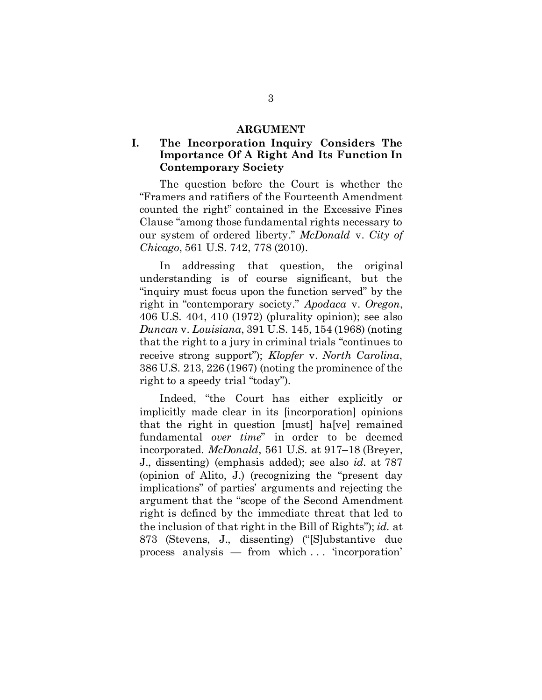#### ARGUMENT

## <span id="page-10-1"></span><span id="page-10-0"></span>I. The Incorporation Inquiry Considers The Importance Of A Right And Its Function In Contemporary Society

The question before the Court is whether the "Framers and ratifiers of the Fourteenth Amendment counted the right" contained in the Excessive Fines Clause "among those fundamental rights necessary to our system of ordered liberty." *McDonald* v. *City of Chicago*, 561 U.S. 742, 778 (2010).

In addressing that question, the original understanding is of course significant, but the "inquiry must focus upon the function served" by the right in "contemporary society*.*" *Apodaca* v. *Oregon*, 406 U.S. 404, 410 (1972) (plurality opinion); see also *Duncan* v. *Louisiana*, 391 U.S. 145, 154 (1968) (noting that the right to a jury in criminal trials "continues to receive strong support"); *Klopfer* v. *North Carolina*, 386 U.S. 213, 226 (1967) (noting the prominence of the right to a speedy trial "today").

Indeed, "the Court has either explicitly or implicitly made clear in its [incorporation] opinions that the right in question [must] ha[ve] remained fundamental *over time*" in order to be deemed incorporated. *McDonald*, 561 U.S. at 917–18 (Breyer, J., dissenting) (emphasis added); see also *id.* at 787 (opinion of Alito, J.) (recognizing the "present day implications" of parties' arguments and rejecting the argument that the "scope of the Second Amendment right is defined by the immediate threat that led to the inclusion of that right in the Bill of Rights"); *id.* at 873 (Stevens, J., dissenting) ("[S]ubstantive due process analysis — from which . . . 'incorporation'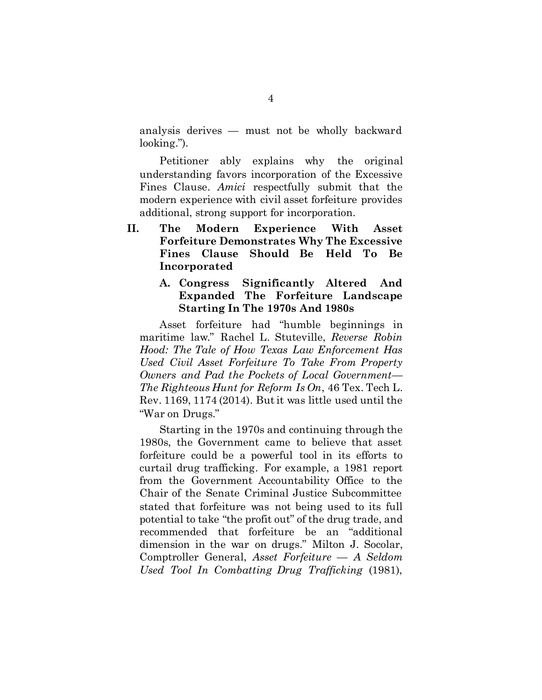analysis derives — must not be wholly backward looking.").

Petitioner ably explains why the original understanding favors incorporation of the Excessive Fines Clause. *Amici* respectfully submit that the modern experience with civil asset forfeiture provides additional, strong support for incorporation.

<span id="page-11-0"></span>II. The Modern Experience With Asset Forfeiture Demonstrates Why The Excessive Fines Clause Should Be Held To Be Incorporated

## <span id="page-11-1"></span>A. Congress Significantly Altered And Expanded The Forfeiture Landscape Starting In The 1970s And 1980s

Asset forfeiture had "humble beginnings in maritime law." Rachel L. Stuteville, *Reverse Robin Hood: The Tale of How Texas Law Enforcement Has Used Civil Asset Forfeiture To Take From Property Owners and Pad the Pockets of Local Government— The Righteous Hunt for Reform Is On*, 46 Tex. Tech L. Rev. 1169, 1174 (2014). Butit was little used until the "War on Drugs."

Starting in the 1970s and continuing through the 1980s, the Government came to believe that asset forfeiture could be a powerful tool in its efforts to curtail drug trafficking. For example, a 1981 report from the Government Accountability Office to the Chair of the Senate Criminal Justice Subcommittee stated that forfeiture was not being used to its full potential to take "the profit out" of the drug trade, and recommended that forfeiture be an "additional dimension in the war on drugs." Milton J. Socolar, Comptroller General, *Asset Forfeiture* — *A Seldom Used Tool In Combatting Drug Trafficking* (1981),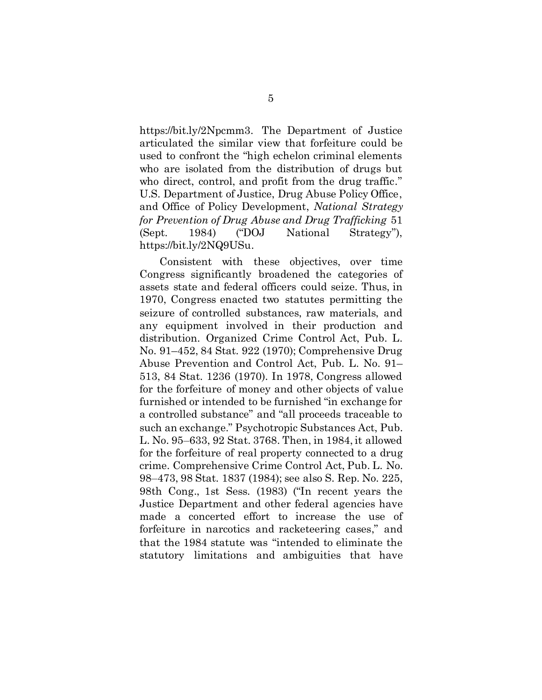https://bit.ly/2Npcmm3. The Department of Justice articulated the similar view that forfeiture could be used to confront the "high echelon criminal elements who are isolated from the distribution of drugs but who direct, control, and profit from the drug traffic." U.S. Department of Justice, Drug Abuse Policy Office, and Office of Policy Development, *National Strategy for Prevention of Drug Abuse and Drug Trafficking* 51 (Sept. 1984) ("DOJ National Strategy"), https://bit.ly/2NQ9USu.

Consistent with these objectives, over time Congress significantly broadened the categories of assets state and federal officers could seize. Thus, in 1970, Congress enacted two statutes permitting the seizure of controlled substances, raw materials, and any equipment involved in their production and distribution. Organized Crime Control Act, Pub. L. No. 91–452, 84 Stat. 922 (1970); Comprehensive Drug Abuse Prevention and Control Act, Pub. L. No. 91– 513, 84 Stat. 1236 (1970). In 1978, Congress allowed for the forfeiture of money and other objects of value furnished or intended to be furnished "in exchange for a controlled substance" and "all proceeds traceable to such an exchange." Psychotropic Substances Act, Pub. L. No. 95–633, 92 Stat. 3768. Then, in 1984, it allowed for the forfeiture of real property connected to a drug crime. Comprehensive Crime Control Act, Pub. L. No. 98–473, 98 Stat. 1837 (1984); see also S. Rep. No. 225, 98th Cong., 1st Sess. (1983) ("In recent years the Justice Department and other federal agencies have made a concerted effort to increase the use of forfeiture in narcotics and racketeering cases," and that the 1984 statute was "intended to eliminate the statutory limitations and ambiguities that have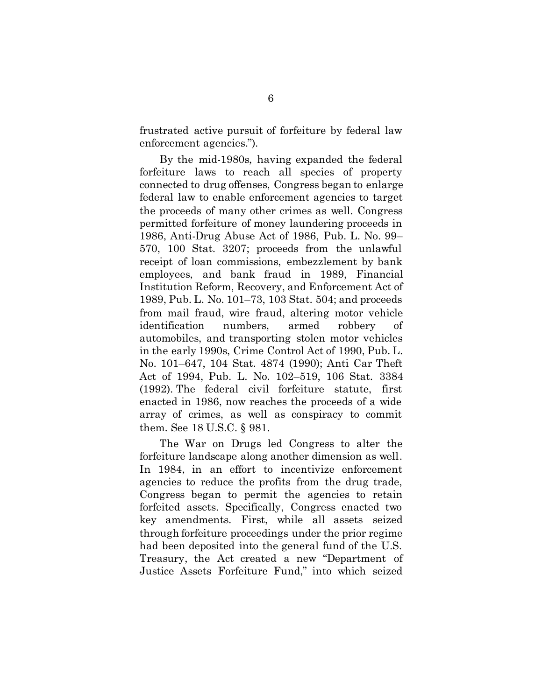frustrated active pursuit of forfeiture by federal law enforcement agencies.").

By the mid-1980s, having expanded the federal forfeiture laws to reach all species of property connected to drug offenses, Congress began to enlarge federal law to enable enforcement agencies to target the proceeds of many other crimes as well. Congress permitted forfeiture of money laundering proceeds in 1986, Anti-Drug Abuse Act of 1986, Pub. L. No. 99– 570, 100 Stat. 3207; proceeds from the unlawful receipt of loan commissions, embezzlement by bank employees, and bank fraud in 1989, Financial Institution Reform, Recovery, and Enforcement Act of 1989, Pub. L. No. 101–73, 103 Stat. 504; and proceeds from mail fraud, wire fraud, altering motor vehicle identification numbers, armed robbery of automobiles, and transporting stolen motor vehicles in the early 1990s, Crime Control Act of 1990, Pub. L. No. 101–647, 104 Stat. 4874 (1990); Anti Car Theft Act of 1994, Pub. L. No. 102–519, 106 Stat. 3384 (1992). The federal civil forfeiture statute, first enacted in 1986, now reaches the proceeds of a wide array of crimes, as well as conspiracy to commit them. See 18 U.S.C. § 981.

The War on Drugs led Congress to alter the forfeiture landscape along another dimension as well. In 1984, in an effort to incentivize enforcement agencies to reduce the profits from the drug trade, Congress began to permit the agencies to retain forfeited assets. Specifically, Congress enacted two key amendments. First, while all assets seized through forfeiture proceedings under the prior regime had been deposited into the general fund of the U.S. Treasury, the Act created a new "Department of Justice Assets Forfeiture Fund," into which seized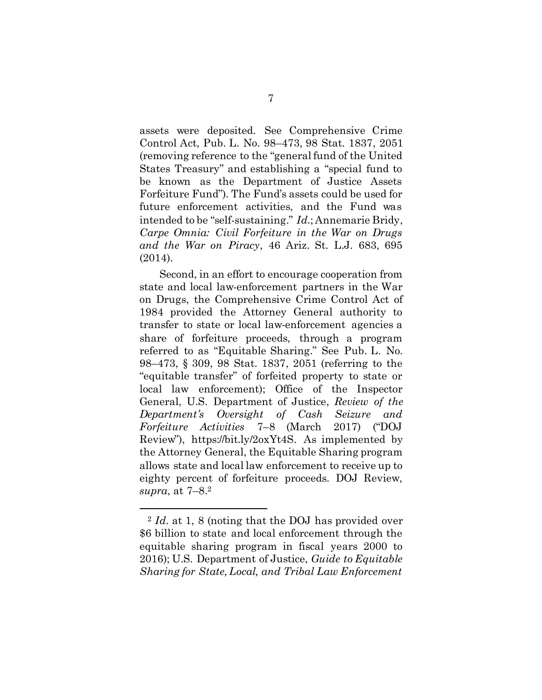assets were deposited. See Comprehensive Crime Control Act, Pub. L. No. 98–473, 98 Stat. 1837, 2051 (removing reference to the "general fund of the United States Treasury" and establishing a "special fund to be known as the Department of Justice Assets Forfeiture Fund"). The Fund's assets could be used for future enforcement activities, and the Fund was intended to be "self-sustaining." *Id.*; Annemarie Bridy, *Carpe Omnia: Civil Forfeiture in the War on Drugs and the War on Piracy*, 46 Ariz. St. L.J. 683, 695 (2014).

Second, in an effort to encourage cooperation from state and local law-enforcement partners in the War on Drugs, the Comprehensive Crime Control Act of 1984 provided the Attorney General authority to transfer to state or local law-enforcement agencies a share of forfeiture proceeds, through a program referred to as "Equitable Sharing." See Pub. L. No. 98–473, § 309, 98 Stat. 1837, 2051 (referring to the "equitable transfer" of forfeited property to state or local law enforcement); Office of the Inspector General, U.S. Department of Justice, *Review of the Department's Oversight of Cash Seizure and Forfeiture Activities* 7–8 (March 2017) ("DOJ Review"), https://bit.ly/2oxYt4S. As implemented by the Attorney General, the Equitable Sharing program allows state and local law enforcement to receive up to eighty percent of forfeiture proceeds. DOJ Review, *supra*, at 7–8.<sup>2</sup>

 $\ddot{\phantom{a}}$ 

<sup>2</sup> *Id.* at 1, 8 (noting that the DOJ has provided over \$6 billion to state and local enforcement through the equitable sharing program in fiscal years 2000 to 2016); U.S. Department of Justice, *Guide to Equitable Sharing for State, Local, and Tribal Law Enforcement*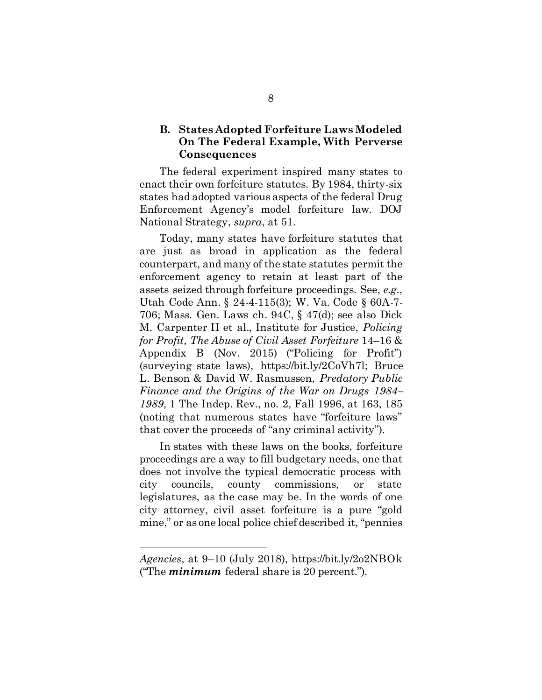## <span id="page-15-0"></span>B. States Adopted Forfeiture Laws Modeled On The Federal Example, With Perverse **Consequences**

The federal experiment inspired many states to enact their own forfeiture statutes. By 1984, thirty-six states had adopted various aspects of the federal Drug Enforcement Agency's model forfeiture law. DOJ National Strategy, *supra*, at 51.

Today, many states have forfeiture statutes that are just as broad in application as the federal counterpart, and many of the state statutes permit the enforcement agency to retain at least part of the assets seized through forfeiture proceedings. See, *e.g.*, Utah Code Ann. § 24-4-115(3); W. Va. Code § 60A-7- 706; Mass. Gen. Laws ch. 94C, § 47(d); see also Dick M. Carpenter II et al., Institute for Justice, *Policing for Profit, The Abuse of Civil Asset Forfeiture* 14–16 & Appendix B (Nov. 2015) ("Policing for Profit") (surveying state laws), https://bit.ly/2CoVh7l; Bruce L. Benson & David W. Rasmussen, *Predatory Public Finance and the Origins of the War on Drugs 1984– 1989*, 1 The Indep. Rev., no. 2, Fall 1996, at 163, 185 (noting that numerous states have "forfeiture laws" that cover the proceeds of "any criminal activity").

In states with these laws on the books, forfeiture proceedings are a way to fill budgetary needs, one that does not involve the typical democratic process with city councils, county commissions, or state legislatures, as the case may be. In the words of one city attorney, civil asset forfeiture is a pure "gold mine," or as one local police chief described it, "pennies

 $\ddot{\phantom{a}}$ 

*Agencies*, at 9–10 (July 2018), https://bit.ly/2o2NBOk ("The *minimum* federal share is 20 percent.").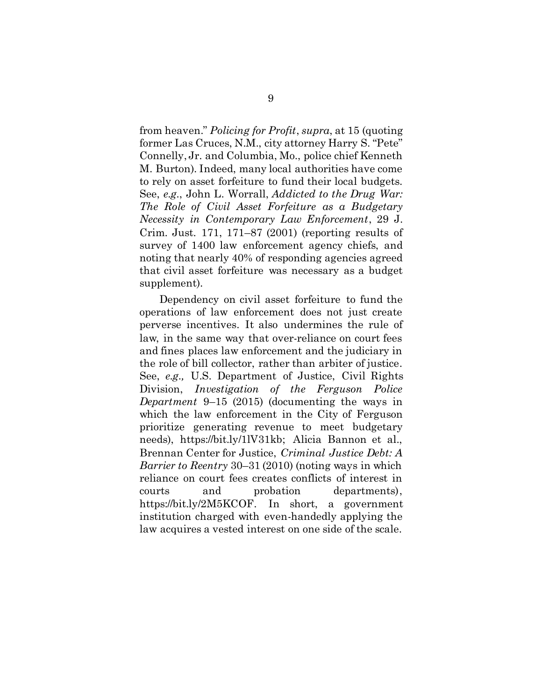from heaven." *Policing for Profit*, *supra*, at 15 (quoting former Las Cruces, N.M., city attorney Harry S. "Pete" Connelly, Jr. and Columbia, Mo., police chief Kenneth M. Burton). Indeed, many local authorities have come to rely on asset forfeiture to fund their local budgets. See, *e.g.*, John L. Worrall, *Addicted to the Drug War: The Role of Civil Asset Forfeiture as a Budgetary Necessity in Contemporary Law Enforcement*, 29 J. Crim. Just. 171, 171–87 (2001) (reporting results of survey of 1400 law enforcement agency chiefs, and noting that nearly 40% of responding agencies agreed that civil asset forfeiture was necessary as a budget supplement).

Dependency on civil asset forfeiture to fund the operations of law enforcement does not just create perverse incentives. It also undermines the rule of law, in the same way that over-reliance on court fees and fines places law enforcement and the judiciary in the role of bill collector, rather than arbiter of justice. See, *e.g.,* U.S. Department of Justice, Civil Rights Division, *Investigation of the Ferguson Police Department* 9–15 (2015) (documenting the ways in which the law enforcement in the City of Ferguson prioritize generating revenue to meet budgetary needs), https://bit.ly/1lV31kb; Alicia Bannon et al., Brennan Center for Justice, *Criminal Justice Debt: A Barrier to Reentry* 30–31 (2010) (noting ways in which reliance on court fees creates conflicts of interest in courts and probation departments), https://bit.ly/2M5KCOF. In short, a government institution charged with even-handedly applying the law acquires a vested interest on one side of the scale.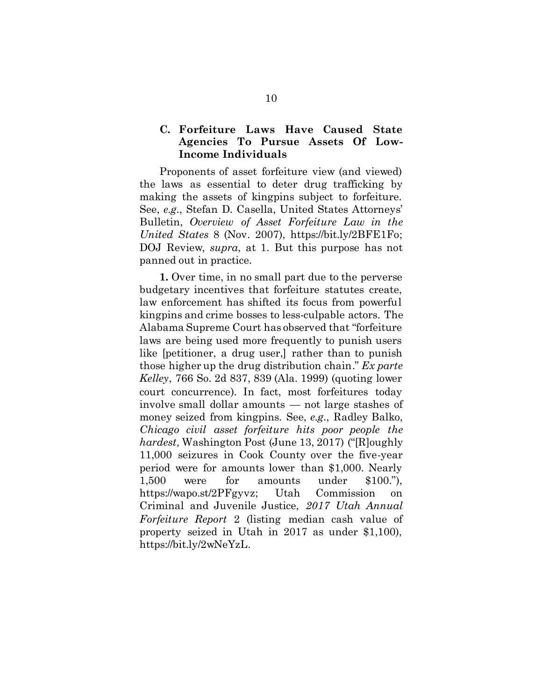## <span id="page-17-0"></span>C. Forfeiture Laws Have Caused State Agencies To Pursue Assets Of Low-Income Individuals

Proponents of asset forfeiture view (and viewed) the laws as essential to deter drug trafficking by making the assets of kingpins subject to forfeiture. See, *e.g.*, Stefan D. Casella, United States Attorneys' Bulletin, *Overview of Asset Forfeiture Law in the United States* 8 (Nov. 2007), https://bit.ly/2BFE1Fo; DOJ Review, *supra*, at 1. But this purpose has not panned out in practice.

1. Over time, in no small part due to the perverse budgetary incentives that forfeiture statutes create, law enforcement has shifted its focus from powerful kingpins and crime bosses to less-culpable actors. The Alabama Supreme Court has observed that "forfeiture laws are being used more frequently to punish users like [petitioner, a drug user,] rather than to punish those higher up the drug distribution chain." *Ex parte Kelley*, 766 So. 2d 837, 839 (Ala. 1999) (quoting lower court concurrence). In fact, most forfeitures today involve small dollar amounts — not large stashes of money seized from kingpins. See, *e.g.*, Radley Balko, *Chicago civil asset forfeiture hits poor people the hardest,* Washington Post (June 13, 2017) ("[R]oughly 11,000 seizures in Cook County over the five-year period were for amounts lower than \$1,000. Nearly 1,500 were for amounts under \$100."), https://wapo.st/2PFgyvz; Utah Commission on Criminal and Juvenile Justice, *2017 Utah Annual Forfeiture Report* 2 (listing median cash value of property seized in Utah in 2017 as under \$1,100), https://bit.ly/2wNeYzL.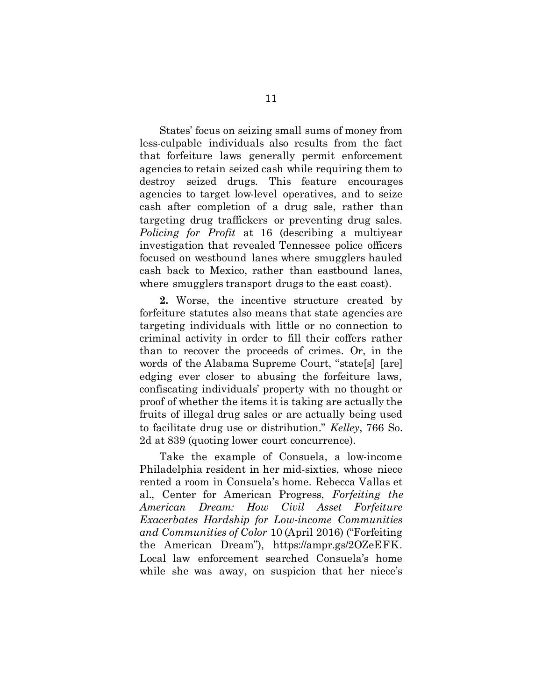States' focus on seizing small sums of money from less-culpable individuals also results from the fact that forfeiture laws generally permit enforcement agencies to retain seized cash while requiring them to destroy seized drugs. This feature encourages agencies to target low-level operatives, and to seize cash after completion of a drug sale, rather than targeting drug traffickers or preventing drug sales. *Policing for Profit* at 16 (describing a multiyear investigation that revealed Tennessee police officers focused on westbound lanes where smugglers hauled cash back to Mexico, rather than eastbound lanes, where smugglers transport drugs to the east coast).

2. Worse, the incentive structure created by forfeiture statutes also means that state agencies are targeting individuals with little or no connection to criminal activity in order to fill their coffers rather than to recover the proceeds of crimes. Or, in the words of the Alabama Supreme Court, "state[s] [are] edging ever closer to abusing the forfeiture laws, confiscating individuals' property with no thought or proof of whether the items it is taking are actually the fruits of illegal drug sales or are actually being used to facilitate drug use or distribution." *Kelley*, 766 So. 2d at 839 (quoting lower court concurrence).

Take the example of Consuela, a low-income Philadelphia resident in her mid-sixties, whose niece rented a room in Consuela's home. Rebecca Vallas et al., Center for American Progress, *Forfeiting the American Dream: How Civil Asset Forfeiture Exacerbates Hardship for Low-income Communities and Communities of Color* 10 (April 2016) ("Forfeiting the American Dream"), https://ampr.gs/2OZeEFK. Local law enforcement searched Consuela's home while she was away, on suspicion that her niece's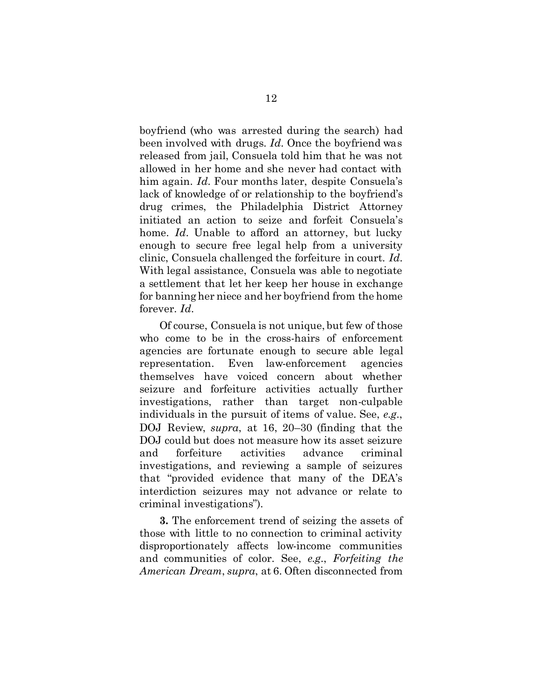boyfriend (who was arrested during the search) had been involved with drugs. *Id.* Once the boyfriend was released from jail, Consuela told him that he was not allowed in her home and she never had contact with him again. *Id.* Four months later, despite Consuela's lack of knowledge of or relationship to the boyfriend's drug crimes, the Philadelphia District Attorney initiated an action to seize and forfeit Consuela's home. *Id.* Unable to afford an attorney, but lucky enough to secure free legal help from a university clinic, Consuela challenged the forfeiture in court. *Id.*  With legal assistance, Consuela was able to negotiate a settlement that let her keep her house in exchange for banning her niece and her boyfriend from the home forever. *Id.* 

Of course, Consuela is not unique, but few of those who come to be in the cross-hairs of enforcement agencies are fortunate enough to secure able legal representation. Even law-enforcement agencies themselves have voiced concern about whether seizure and forfeiture activities actually further investigations, rather than target non-culpable individuals in the pursuit of items of value. See, *e.g.*, DOJ Review, *supra*, at 16, 20–30 (finding that the DOJ could but does not measure how its asset seizure and forfeiture activities advance criminal investigations, and reviewing a sample of seizures that "provided evidence that many of the DEA's interdiction seizures may not advance or relate to criminal investigations").

3. The enforcement trend of seizing the assets of those with little to no connection to criminal activity disproportionately affects low-income communities and communities of color. See, *e.g.*, *Forfeiting the American Dream*, *supra*, at 6. Often disconnected from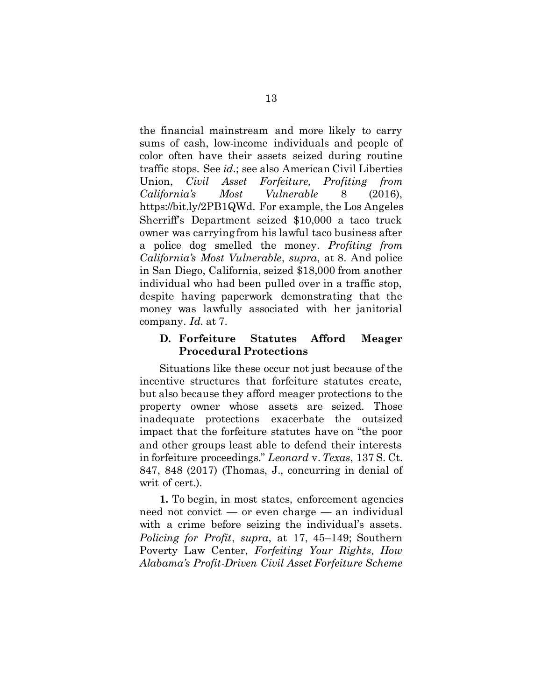the financial mainstream and more likely to carry sums of cash, low-income individuals and people of color often have their assets seized during routine traffic stops. See *id.*; see also American Civil Liberties Union, *Civil Asset Forfeiture, Profiting from California's Most Vulnerable* 8 (2016), https://bit.ly/2PB1QWd. For example, the Los Angeles Sherriff's Department seized \$10,000 a taco truck owner was carrying from his lawful taco business after a police dog smelled the money. *Profiting from California's Most Vulnerable*, *supra*, at 8. And police in San Diego, California, seized \$18,000 from another individual who had been pulled over in a traffic stop, despite having paperwork demonstrating that the money was lawfully associated with her janitorial company. *Id.* at 7.

## <span id="page-20-0"></span>D. Forfeiture Statutes Afford Meager Procedural Protections

Situations like these occur not just because of the incentive structures that forfeiture statutes create, but also because they afford meager protections to the property owner whose assets are seized. Those inadequate protections exacerbate the outsized impact that the forfeiture statutes have on "the poor and other groups least able to defend their interests in forfeiture proceedings." *Leonard* v.*Texas*, 137 S. Ct. 847, 848 (2017) (Thomas, J., concurring in denial of writ of cert.).

1. To begin, in most states, enforcement agencies need not convict — or even charge — an individual with a crime before seizing the individual's assets. *Policing for Profit*, *supra*, at 17, 45–149; Southern Poverty Law Center, *Forfeiting Your Rights, How Alabama's Profit-Driven Civil Asset Forfeiture Scheme*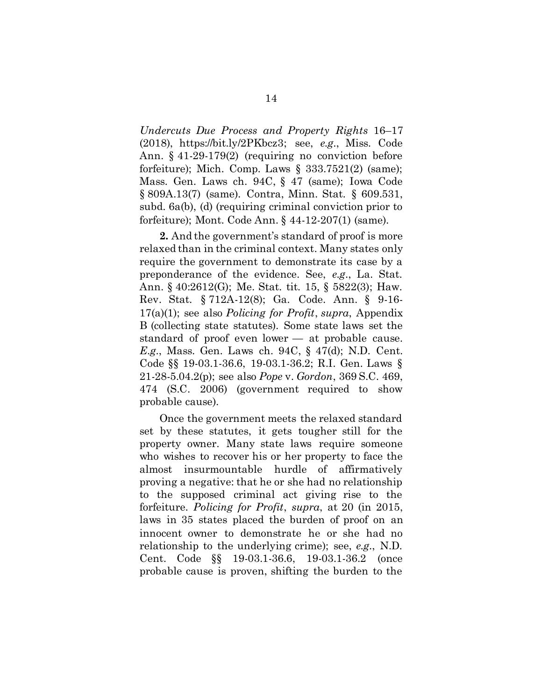*Undercuts Due Process and Property Rights* 16–17 (2018), https://bit.ly/2PKbcz3; see, *e.g.*, Miss. Code Ann. § 41-29-179(2) (requiring no conviction before forfeiture); Mich. Comp. Laws  $\S$  333.7521(2) (same); Mass. Gen. Laws ch. 94C, § 47 (same); Iowa Code § 809A.13(7) (same). Contra, Minn. Stat. § 609.531, subd. 6a(b), (d) (requiring criminal conviction prior to forfeiture); Mont. Code Ann. § 44-12-207(1) (same).

2. And the government's standard of proof is more relaxed than in the criminal context. Many states only require the government to demonstrate its case by a preponderance of the evidence. See, *e.g.*, La. Stat. Ann. § 40:2612(G); Me. Stat. tit. 15, § 5822(3); Haw. Rev. Stat. § 712A-12(8); Ga. Code. Ann. § 9-16- 17(a)(1); see also *Policing for Profit*, *supra*, Appendix B (collecting state statutes). Some state laws set the standard of proof even lower — at probable cause. *E.g.*, Mass. Gen. Laws ch. 94C, § 47(d); N.D. Cent. Code §§ 19-03.1-36.6, 19-03.1-36.2; R.I. Gen. Laws § 21-28-5.04.2(p); see also *Pope* v. *Gordon*, 369 S.C. 469, 474 (S.C. 2006) (government required to show probable cause).

Once the government meets the relaxed standard set by these statutes, it gets tougher still for the property owner. Many state laws require someone who wishes to recover his or her property to face the almost insurmountable hurdle of affirmatively proving a negative: that he or she had no relationship to the supposed criminal act giving rise to the forfeiture. *Policing for Profit*, *supra*, at 20 (in 2015, laws in 35 states placed the burden of proof on an innocent owner to demonstrate he or she had no relationship to the underlying crime); see, *e.g.*, N.D. Cent. Code §§ 19-03.1-36.6, 19-03.1-36.2 (once probable cause is proven, shifting the burden to the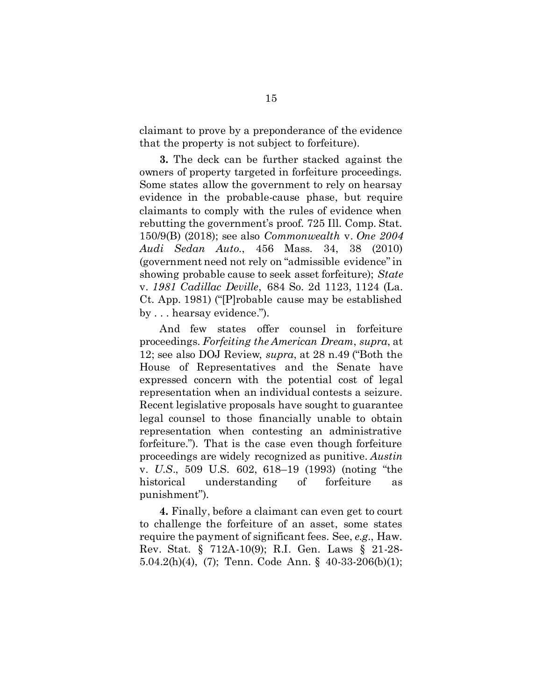claimant to prove by a preponderance of the evidence that the property is not subject to forfeiture).

3. The deck can be further stacked against the owners of property targeted in forfeiture proceedings. Some states allow the government to rely on hearsay evidence in the probable-cause phase, but require claimants to comply with the rules of evidence when rebutting the government's proof. 725 Ill. Comp. Stat. 150/9(B) (2018); see also *Commonwealth* v. *One 2004 Audi Sedan Auto.*, 456 Mass. 34, 38 (2010) (government need not rely on "admissible evidence" in showing probable cause to seek asset forfeiture); *State*  v. *1981 Cadillac Deville*, 684 So. 2d 1123, 1124 (La. Ct. App. 1981) ("[P]robable cause may be established by . . . hearsay evidence.").

And few states offer counsel in forfeiture proceedings. *Forfeiting the American Dream*, *supra*, at 12; see also DOJ Review, *supra*, at 28 n.49 ("Both the House of Representatives and the Senate have expressed concern with the potential cost of legal representation when an individual contests a seizure. Recent legislative proposals have sought to guarantee legal counsel to those financially unable to obtain representation when contesting an administrative forfeiture."). That is the case even though forfeiture proceedings are widely recognized as punitive. *Austin*  v. *U.S*., 509 U.S. 602, 618–19 (1993) (noting "the historical understanding of forfeiture as punishment").

4. Finally, before a claimant can even get to court to challenge the forfeiture of an asset, some states require the payment of significant fees. See, *e.g.*, Haw. Rev. Stat. § 712A-10(9); R.I. Gen. Laws § 21-28- 5.04.2(h)(4), (7); Tenn. Code Ann. § 40-33-206(b)(1);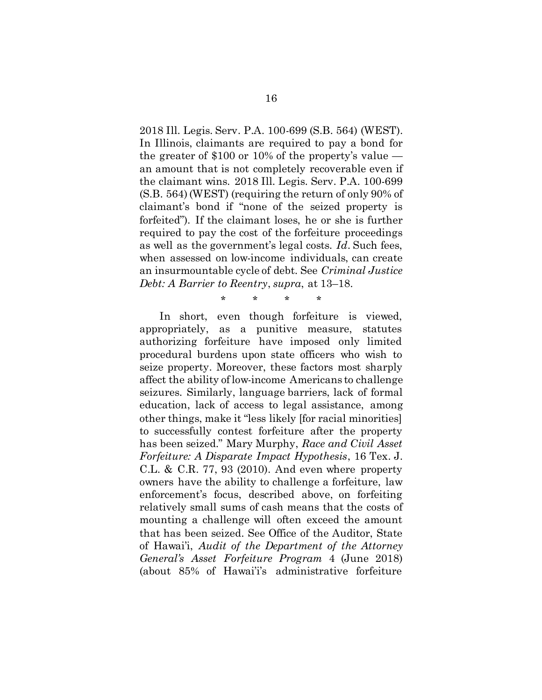2018 Ill. Legis. Serv. P.A. 100-699 (S.B. 564) (WEST). In Illinois, claimants are required to pay a bond for the greater of \$100 or 10% of the property's value an amount that is not completely recoverable even if the claimant wins. 2018 Ill. Legis. Serv. P.A. 100-699 (S.B. 564) (WEST) (requiring the return of only 90% of claimant's bond if "none of the seized property is forfeited"). If the claimant loses, he or she is further required to pay the cost of the forfeiture proceedings as well as the government's legal costs. *Id*. Such fees, when assessed on low-income individuals, can create an insurmountable cycle of debt. See *Criminal Justice Debt: A Barrier to Reentry*, *supra*, at 13–18.

\* \* \* \*

In short, even though forfeiture is viewed, appropriately, as a punitive measure, statutes authorizing forfeiture have imposed only limited procedural burdens upon state officers who wish to seize property. Moreover, these factors most sharply affect the ability of low-income Americans to challenge seizures. Similarly, language barriers, lack of formal education, lack of access to legal assistance, among other things, make it "less likely [for racial minorities] to successfully contest forfeiture after the property has been seized." Mary Murphy, *Race and Civil Asset Forfeiture: A Disparate Impact Hypothesis*, 16 Tex. J. C.L. & C.R. 77, 93 (2010). And even where property owners have the ability to challenge a forfeiture, law enforcement's focus, described above, on forfeiting relatively small sums of cash means that the costs of mounting a challenge will often exceed the amount that has been seized. See Office of the Auditor, State of Hawai'i, *Audit of the Department of the Attorney General's Asset Forfeiture Program* 4 (June 2018) (about 85% of Hawai'i's administrative forfeiture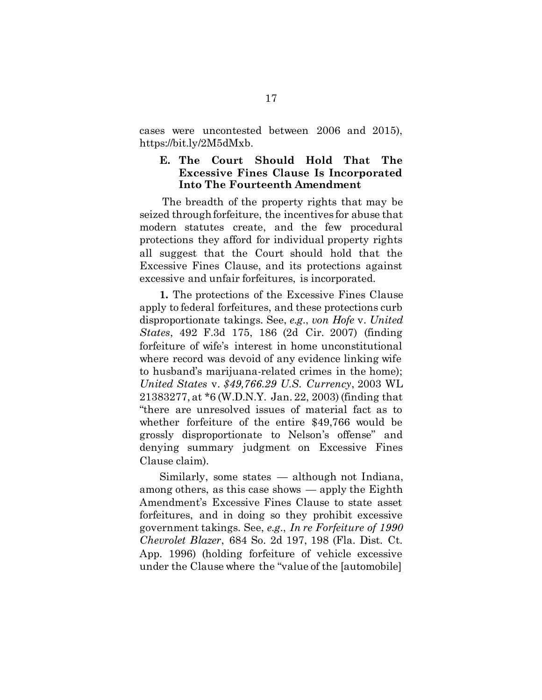cases were uncontested between 2006 and 2015), https://bit.ly/2M5dMxb.

## <span id="page-24-0"></span>E. The Court Should Hold That The Excessive Fines Clause Is Incorporated Into The Fourteenth Amendment

The breadth of the property rights that may be seized through forfeiture, the incentives for abuse that modern statutes create, and the few procedural protections they afford for individual property rights all suggest that the Court should hold that the Excessive Fines Clause, and its protections against excessive and unfair forfeitures, is incorporated.

1. The protections of the Excessive Fines Clause apply to federal forfeitures, and these protections curb disproportionate takings. See, *e.g.*, *von Hofe* v. *United States*, 492 F.3d 175, 186 (2d Cir. 2007) (finding forfeiture of wife's interest in home unconstitutional where record was devoid of any evidence linking wife to husband's marijuana-related crimes in the home); *United States* v. *\$49,766.29 U.S. Currency*, 2003 WL 21383277, at \*6 (W.D.N.Y. Jan. 22, 2003) (finding that "there are unresolved issues of material fact as to whether forfeiture of the entire \$49,766 would be grossly disproportionate to Nelson's offense" and denying summary judgment on Excessive Fines Clause claim).

Similarly, some states — although not Indiana, among others, as this case shows — apply the Eighth Amendment's Excessive Fines Clause to state asset forfeitures, and in doing so they prohibit excessive government takings. See, *e.g.*, *In re Forfeiture of 1990 Chevrolet Blazer*, 684 So. 2d 197, 198 (Fla. Dist. Ct. App. 1996) (holding forfeiture of vehicle excessive under the Clause where the "value of the [automobile]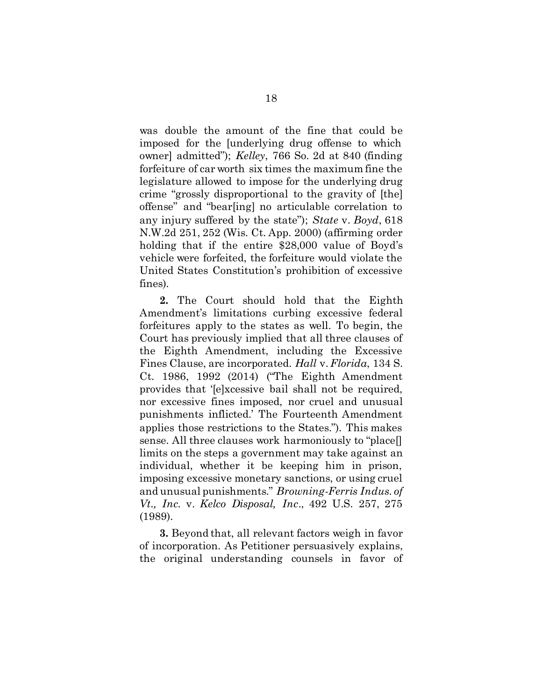was double the amount of the fine that could be imposed for the [underlying drug offense to which owner] admitted"); *Kelley*, 766 So. 2d at 840 (finding forfeiture of car worth six times the maximum fine the legislature allowed to impose for the underlying drug crime "grossly disproportional to the gravity of [the] offense" and "bear[ing] no articulable correlation to any injury suffered by the state"); *State* v. *Boyd*, 618 N.W.2d 251, 252 (Wis. Ct. App. 2000) (affirming order holding that if the entire \$28,000 value of Boyd's vehicle were forfeited, the forfeiture would violate the United States Constitution's prohibition of excessive fines).

2. The Court should hold that the Eighth Amendment's limitations curbing excessive federal forfeitures apply to the states as well. To begin, the Court has previously implied that all three clauses of the Eighth Amendment, including the Excessive Fines Clause, are incorporated. *Hall* v.*Florida*, 134 S. Ct. 1986, 1992 (2014) ("The Eighth Amendment provides that '[e]xcessive bail shall not be required, nor excessive fines imposed, nor cruel and unusual punishments inflicted.' The Fourteenth Amendment applies those restrictions to the States."). This makes sense. All three clauses work harmoniously to "place[] limits on the steps a government may take against an individual, whether it be keeping him in prison, imposing excessive monetary sanctions, or using cruel and unusual punishments." *Browning-Ferris Indus. of Vt., Inc.* v. *Kelco Disposal, Inc*., 492 U.S. 257, 275 (1989).

3. Beyond that, all relevant factors weigh in favor of incorporation. As Petitioner persuasively explains, the original understanding counsels in favor of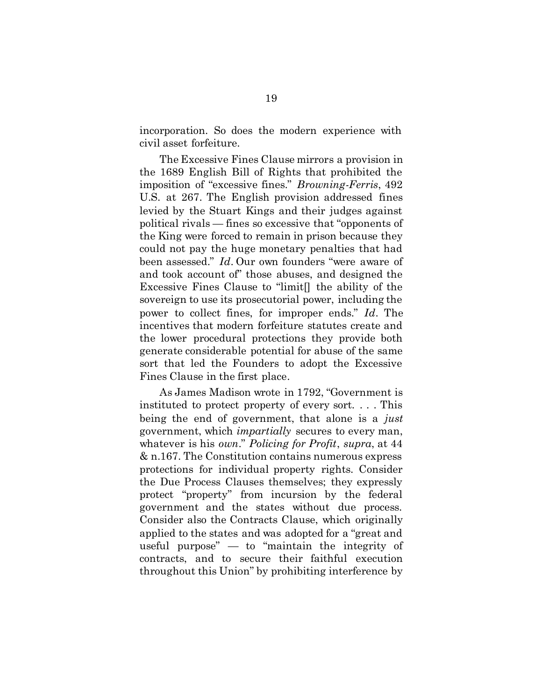incorporation. So does the modern experience with civil asset forfeiture.

The Excessive Fines Clause mirrors a provision in the 1689 English Bill of Rights that prohibited the imposition of "excessive fines." *Browning-Ferris*, 492 U.S. at 267. The English provision addressed fines levied by the Stuart Kings and their judges against political rivals — fines so excessive that "opponents of the King were forced to remain in prison because they could not pay the huge monetary penalties that had been assessed." *Id*. Our own founders "were aware of and took account of" those abuses, and designed the Excessive Fines Clause to "limit[] the ability of the sovereign to use its prosecutorial power, including the power to collect fines, for improper ends." *Id*. The incentives that modern forfeiture statutes create and the lower procedural protections they provide both generate considerable potential for abuse of the same sort that led the Founders to adopt the Excessive Fines Clause in the first place.

As James Madison wrote in 1792, "Government is instituted to protect property of every sort. . . . This being the end of government, that alone is a *just* government, which *impartially* secures to every man, whatever is his *own*." *Policing for Profit*, *supra*, at 44 & n.167. The Constitution contains numerous express protections for individual property rights. Consider the Due Process Clauses themselves; they expressly protect "property" from incursion by the federal government and the states without due process. Consider also the Contracts Clause, which originally applied to the states and was adopted for a "great and useful purpose" — to "maintain the integrity of contracts, and to secure their faithful execution throughout this Union" by prohibiting interference by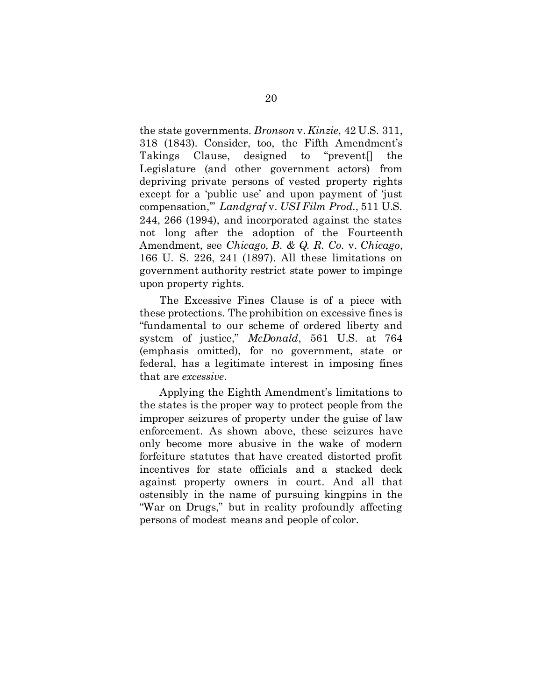the state governments. *Bronson* v. *Kinzie*, 42 U.S. 311, 318 (1843). Consider, too, the Fifth Amendment's Takings Clause, designed to "prevent[] the Legislature (and other government actors) from depriving private persons of vested property rights except for a 'public use' and upon payment of 'just compensation,'" *Landgraf* v. *USI Film Prod.*, 511 U.S. 244, 266 (1994), and incorporated against the states not long after the adoption of the Fourteenth Amendment, see *Chicago, B. & Q. R. Co.* v. *Chicago*, 166 U. S. 226, 241 (1897). All these limitations on government authority restrict state power to impinge upon property rights.

The Excessive Fines Clause is of a piece with these protections. The prohibition on excessive fines is "fundamental to our scheme of ordered liberty and system of justice," *McDonald*, 561 U.S. at 764 (emphasis omitted), for no government, state or federal, has a legitimate interest in imposing fines that are *excessive*.

Applying the Eighth Amendment's limitations to the states is the proper way to protect people from the improper seizures of property under the guise of law enforcement. As shown above, these seizures have only become more abusive in the wake of modern forfeiture statutes that have created distorted profit incentives for state officials and a stacked deck against property owners in court. And all that ostensibly in the name of pursuing kingpins in the "War on Drugs," but in reality profoundly affecting persons of modest means and people of color.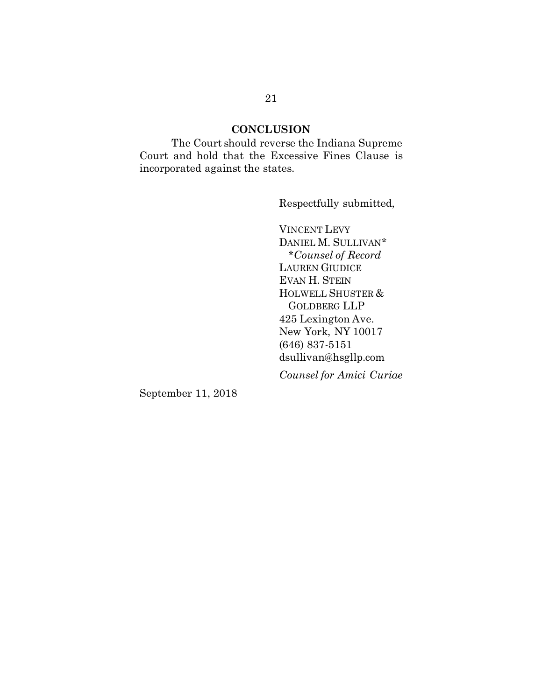## **CONCLUSION**

<span id="page-28-0"></span>The Court should reverse the Indiana Supreme Court and hold that the Excessive Fines Clause is incorporated against the states.

Respectfully submitted,

VINCENT LEVY DANIEL M. SULLIVAN\* \**Counsel of Record* LAUREN GIUDICE EVAN H. STEIN HOLWELL SHUSTER & GOLDBERG LLP 425 Lexington Ave. New York, NY 10017 (646) 837-5151 dsullivan@hsgllp.com *Counsel for Amici Curiae*

September 11, 2018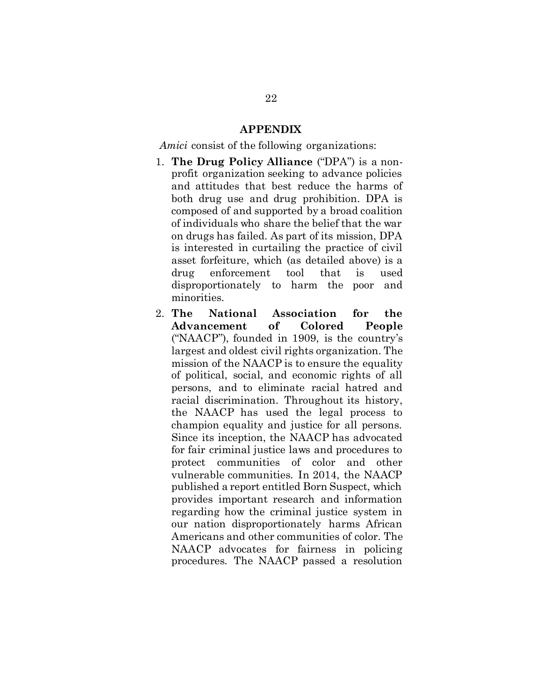### APPENDIX

<span id="page-29-0"></span>*Amici* consist of the following organizations:

- 1. The Drug Policy Alliance ("DPA") is a nonprofit organization seeking to advance policies and attitudes that best reduce the harms of both drug use and drug prohibition. DPA is composed of and supported by a broad coalition of individuals who share the belief that the war on drugs has failed. As part of its mission, DPA is interested in curtailing the practice of civil asset forfeiture, which (as detailed above) is a drug enforcement tool that is used disproportionately to harm the poor and minorities.
- 2. The National Association for the Advancement of Colored People ("NAACP"), founded in 1909, is the country's largest and oldest civil rights organization. The mission of the NAACP is to ensure the equality of political, social, and economic rights of all persons, and to eliminate racial hatred and racial discrimination. Throughout its history, the NAACP has used the legal process to champion equality and justice for all persons. Since its inception, the NAACP has advocated for fair criminal justice laws and procedures to protect communities of color and other vulnerable communities. In 2014, the NAACP published a report entitled Born Suspect, which provides important research and information regarding how the criminal justice system in our nation disproportionately harms African Americans and other communities of color. The NAACP advocates for fairness in policing procedures. The NAACP passed a resolution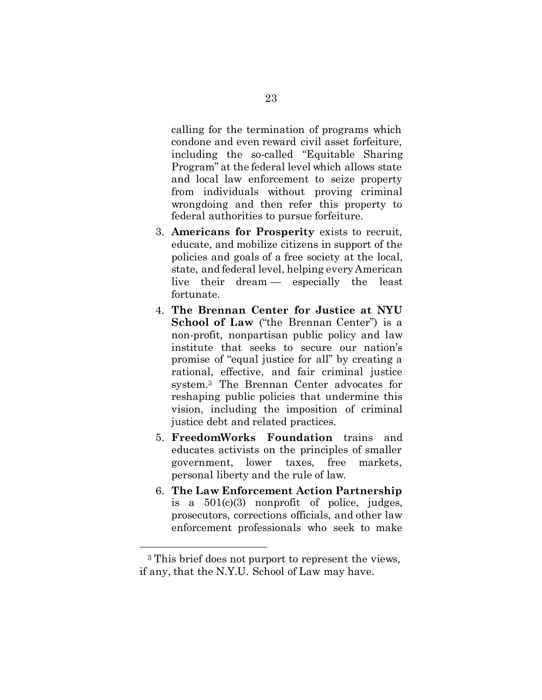calling for the termination of programs which condone and even reward civil asset forfeiture, including the so-called "Equitable Sharing Program" at the federal level which allows state and local law enforcement to seize property from individuals without proving criminal wrongdoing and then refer this property to federal authorities to pursue forfeiture.

- 3. Americans for Prosperity exists to recruit, educate, and mobilize citizens in support of the policies and goals of a free society at the local, state, and federal level, helping every American live their dream — especially the least fortunate.
- 4. The Brennan Center for Justice at NYU School of Law ("the Brennan Center") is a non-profit, nonpartisan public policy and law institute that seeks to secure our nation's promise of "equal justice for all" by creating a rational, effective, and fair criminal justice system.<sup>3</sup> The Brennan Center advocates for reshaping public policies that undermine this vision, including the imposition of criminal justice debt and related practices.
- 5. FreedomWorks Foundation trains and educates activists on the principles of smaller government, lower taxes, free markets, personal liberty and the rule of law.
- 6. The Law Enforcement Action Partnership is a  $501(c)(3)$  nonprofit of police, judges, prosecutors, corrections officials, and other law enforcement professionals who seek to make

 $\ddot{\phantom{a}}$ 

<sup>3</sup> This brief does not purport to represent the views, if any, that the N.Y.U. School of Law may have.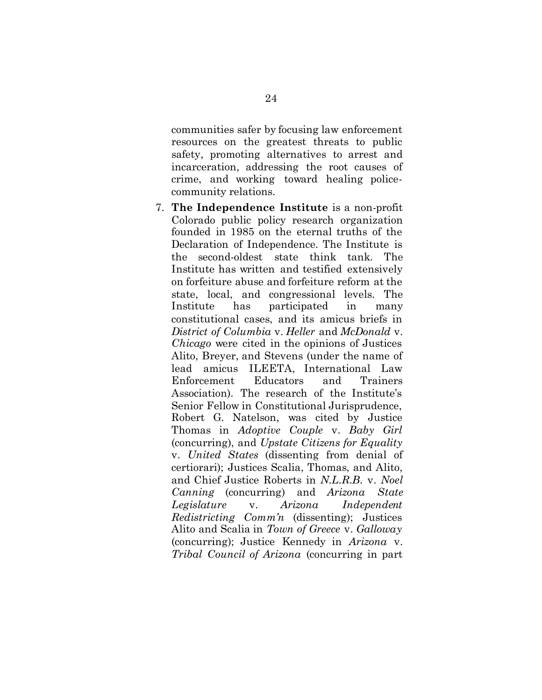communities safer by focusing law enforcement resources on the greatest threats to public safety, promoting alternatives to arrest and incarceration, addressing the root causes of crime, and working toward healing policecommunity relations.

7. The Independence Institute is a non-profit Colorado public policy research organization founded in 1985 on the eternal truths of the Declaration of Independence. The Institute is the second-oldest state think tank. The Institute has written and testified extensively on forfeiture abuse and forfeiture reform at the state, local, and congressional levels. The Institute has participated in many constitutional cases, and its amicus briefs in *District of Columbia* v. *Heller* and *McDonald* v. *Chicago* were cited in the opinions of Justices Alito, Breyer, and Stevens (under the name of lead amicus ILEETA, International Law Enforcement Educators and Trainers Association). The research of the Institute's Senior Fellow in Constitutional Jurisprudence, Robert G. Natelson, was cited by Justice Thomas in *Adoptive Couple* v. *Baby Girl* (concurring), and *Upstate Citizens for Equality*  v. *United States* (dissenting from denial of certiorari); Justices Scalia, Thomas, and Alito, and Chief Justice Roberts in *N.L.R.B.* v. *Noel Canning* (concurring) and *Arizona State Legislature* v. *Arizona Independent Redistricting Comm'n* (dissenting); Justices Alito and Scalia in *Town of Greece* v. *Galloway* (concurring); Justice Kennedy in *Arizona* v. *Tribal Council of Arizona* (concurring in part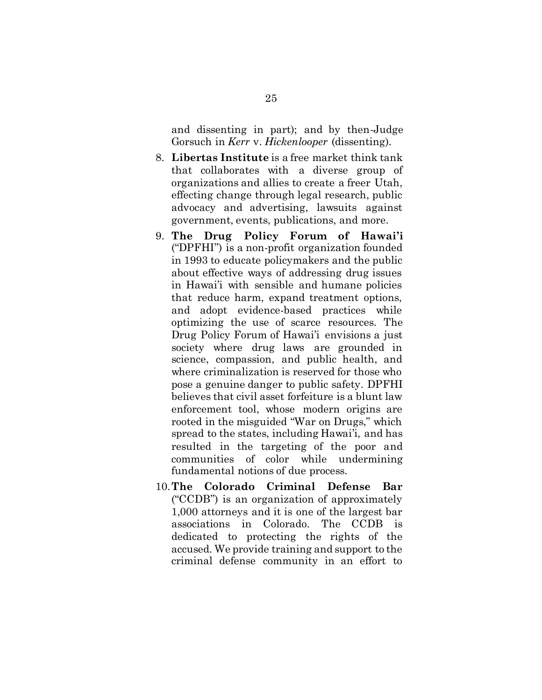and dissenting in part); and by then-Judge Gorsuch in *Kerr* v. *Hickenlooper* (dissenting).

- 8. Libertas Institute is a free market think tank that collaborates with a diverse group of organizations and allies to create a freer Utah, effecting change through legal research, public advocacy and advertising, lawsuits against government, events, publications, and more.
- 9. The Drug Policy Forum of Hawai'i ("DPFHI") is a non-profit organization founded in 1993 to educate policymakers and the public about effective ways of addressing drug issues in Hawai'i with sensible and humane policies that reduce harm, expand treatment options, and adopt evidence-based practices while optimizing the use of scarce resources. The Drug Policy Forum of Hawai'i envisions a just society where drug laws are grounded in science, compassion, and public health, and where criminalization is reserved for those who pose a genuine danger to public safety. DPFHI believes that civil asset forfeiture is a blunt law enforcement tool, whose modern origins are rooted in the misguided "War on Drugs," which spread to the states, including Hawai'i, and has resulted in the targeting of the poor and communities of color while undermining fundamental notions of due process.
- 10.The Colorado Criminal Defense Bar ("CCDB") is an organization of approximately 1,000 attorneys and it is one of the largest bar associations in Colorado. The CCDB is dedicated to protecting the rights of the accused. We provide training and support to the criminal defense community in an effort to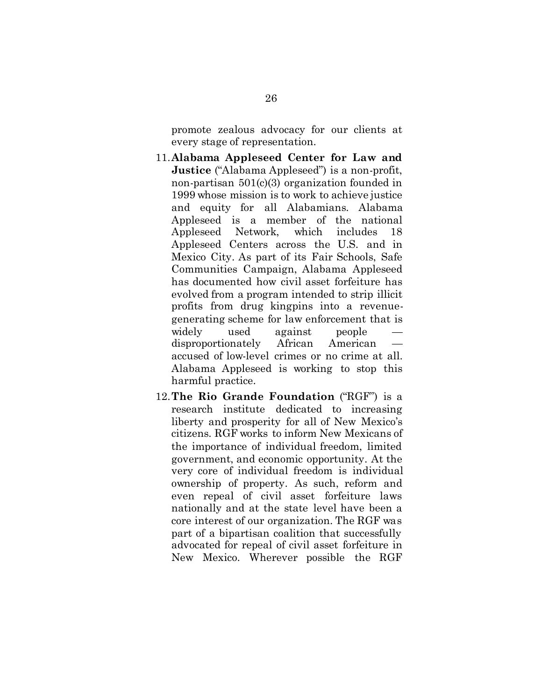promote zealous advocacy for our clients at every stage of representation.

- 11.Alabama Appleseed Center for Law and Justice ("Alabama Appleseed") is a non-profit, non-partisan 501(c)(3) organization founded in 1999 whose mission is to work to achieve justice and equity for all Alabamians. Alabama Appleseed is a member of the national Appleseed Network, which includes 18 Appleseed Centers across the U.S. and in Mexico City. As part of its Fair Schools, Safe Communities Campaign, Alabama Appleseed has documented how civil asset forfeiture has evolved from a program intended to strip illicit profits from drug kingpins into a revenuegenerating scheme for law enforcement that is widely used against people disproportionately African American accused of low-level crimes or no crime at all. Alabama Appleseed is working to stop this harmful practice.
- 12.The Rio Grande Foundation ("RGF") is a research institute dedicated to increasing liberty and prosperity for all of New Mexico's citizens. RGF works to inform New Mexicans of the importance of individual freedom, limited government, and economic opportunity. At the very core of individual freedom is individual ownership of property. As such, reform and even repeal of civil asset forfeiture laws nationally and at the state level have been a core interest of our organization. The RGF was part of a bipartisan coalition that successfully advocated for repeal of civil asset forfeiture in New Mexico. Wherever possible the RGF